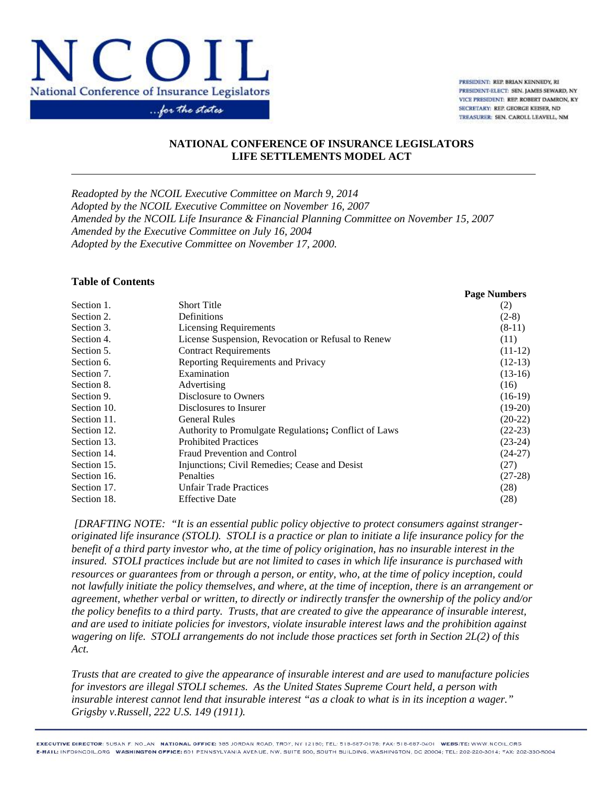

PRESIDENT: REP. BRIAN KENNEDY, RI PRESIDENT-ELECT: SEN. JAMES SEWARD, NY VICE PRESIDENT: REP. ROBERT DAMRON, KY SECRETARY: REP. GEORGE KEISER, ND TREASURER: SEN. CAROLL LEAVELL, NM

### **NATIONAL CONFERENCE OF INSURANCE LEGISLATORS LIFE SETTLEMENTS MODEL ACT**

*Readopted by the NCOIL Executive Committee on March 9, 2014 Adopted by the NCOIL Executive Committee on November 16, 2007 Amended by the NCOIL Life Insurance & Financial Planning Committee on November 15, 2007 Amended by the Executive Committee on July 16, 2004 Adopted by the Executive Committee on November 17, 2000.*

#### **Table of Contents**

|             |                                                       | <b>Page Numbers</b> |
|-------------|-------------------------------------------------------|---------------------|
| Section 1.  | <b>Short Title</b>                                    | (2)                 |
| Section 2.  | Definitions                                           | $(2-8)$             |
| Section 3.  | <b>Licensing Requirements</b>                         | $(8-11)$            |
| Section 4.  | License Suspension, Revocation or Refusal to Renew    | (11)                |
| Section 5.  | <b>Contract Requirements</b>                          | $(11-12)$           |
| Section 6.  | Reporting Requirements and Privacy                    | $(12-13)$           |
| Section 7.  | Examination                                           | $(13-16)$           |
| Section 8.  | Advertising                                           | (16)                |
| Section 9.  | Disclosure to Owners                                  | $(16-19)$           |
| Section 10. | Disclosures to Insurer                                | $(19-20)$           |
| Section 11. | <b>General Rules</b>                                  | $(20-22)$           |
| Section 12. | Authority to Promulgate Regulations; Conflict of Laws | $(22-23)$           |
| Section 13. | <b>Prohibited Practices</b>                           | $(23-24)$           |
| Section 14. | <b>Fraud Prevention and Control</b>                   | $(24-27)$           |
| Section 15. | Injunctions; Civil Remedies; Cease and Desist         | (27)                |
| Section 16. | Penalties                                             | $(27-28)$           |
| Section 17. | <b>Unfair Trade Practices</b>                         | (28)                |
| Section 18. | <b>Effective Date</b>                                 | (28)                |

 *[DRAFTING NOTE: "It is an essential public policy objective to protect consumers against stranger originated life insurance (STOLI). STOLI is a practice or plan to initiate a life insurance policy for the benefit of a third party investor who, at the time of policy origination, has no insurable interest in the insured. STOLI practices include but are not limited to cases in which life insurance is purchased with resources or guarantees from or through a person, or entity, who, at the time of policy inception, could not lawfully initiate the policy themselves, and where, at the time of inception, there is an arrangement or agreement, whether verbal or written, to directly or indirectly transfer the ownership of the policy and/or the policy benefits to a third party. Trusts, that are created to give the appearance of insurable interest, and are used to initiate policies for investors, violate insurable interest laws and the prohibition against wagering on life. STOLI arrangements do not include those practices set forth in Section 2L(2) of this Act.*

*Trusts that are created to give the appearance of insurable interest and are used to manufacture policies for investors are illegal STOLI schemes. As the United States Supreme Court held, a person with insurable interest cannot lend that insurable interest "as a cloak to what is in its inception a wager." Grigsby v.Russell, 222 U.S. 149 (1911).*

EXECUTIVE DIRECTOR: 5USAN F. NO\_AN NATIONAL OFFICE: 385 JORDAN ROAD, TROY, NY 12180; TEL: 518-687-0178; FAX: 518-687-0401 WEBSITE: WWW.NCOIL.ORG E-MAIL: INFORNCOIL.ORG WASHINGTON OFFICE: 601 PENNSYLVANIA AVENUE, NW, SUITE 900, SOUTH BUILDING, WASHINGTON, DC 20004; TEL: 202-220-3014; TAX: 202-330-5004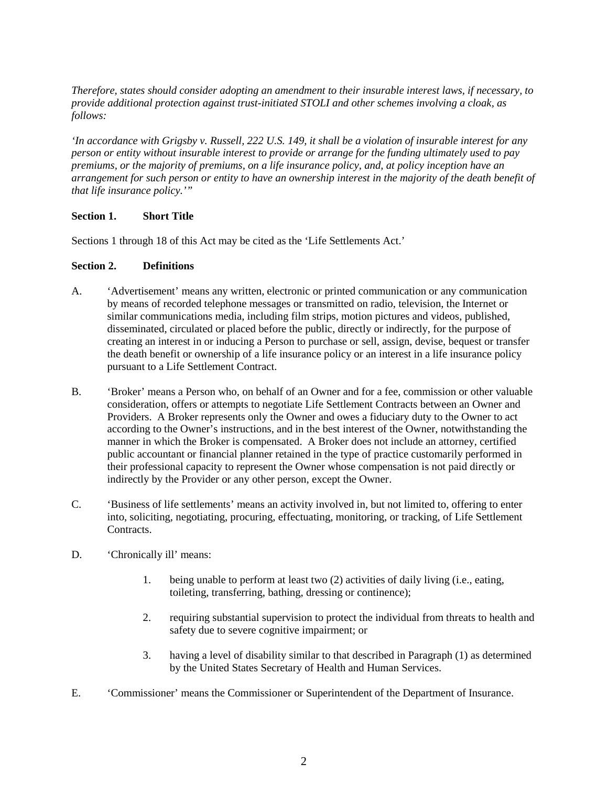*Therefore, states should consider adopting an amendment to their insurable interest laws, if necessary, to provide additional protection against trust-initiated STOLI and other schemes involving a cloak, as follows:*

*'In accordance with Grigsby v. Russell, 222 U.S. 149, it shall be a violation of insurable interest for any person or entity without insurable interest to provide or arrange for the funding ultimately used to pay premiums, or the majority of premiums, on a life insurance policy, and, at policy inception have an arrangement for such person or entity to have an ownership interest in the majority of the death benefit of that life insurance policy.'"*

## **Section 1. Short Title**

Sections 1 through 18 of this Act may be cited as the 'Life Settlements Act.'

### **Section 2. Definitions**

- A. 'Advertisement' means any written, electronic or printed communication or any communication by means of recorded telephone messages or transmitted on radio, television, the Internet or similar communications media, including film strips, motion pictures and videos, published, disseminated, circulated or placed before the public, directly or indirectly, for the purpose of creating an interest in or inducing a Person to purchase or sell, assign, devise, bequest or transfer the death benefit or ownership of a life insurance policy or an interest in a life insurance policy pursuant to a Life Settlement Contract.
- B. 'Broker' means a Person who, on behalf of an Owner and for a fee, commission or other valuable consideration, offers or attempts to negotiate Life Settlement Contracts between an Owner and Providers. A Broker represents only the Owner and owes a fiduciary duty to the Owner to act according to the Owner's instructions, and in the best interest of the Owner, notwithstanding the manner in which the Broker is compensated. A Broker does not include an attorney, certified public accountant or financial planner retained in the type of practice customarily performed in their professional capacity to represent the Owner whose compensation is not paid directly or indirectly by the Provider or any other person, except the Owner.
- C. 'Business of life settlements' means an activity involved in, but not limited to, offering to enter into, soliciting, negotiating, procuring, effectuating, monitoring, or tracking, of Life Settlement Contracts.
- D. **Chronically ill'** means:
	- 1. being unable to perform at least two (2) activities of daily living (i.e., eating, toileting, transferring, bathing, dressing or continence);
	- 2. requiring substantial supervision to protect the individual from threats to health and safety due to severe cognitive impairment; or
	- 3. having a level of disability similar to that described in Paragraph (1) as determined by the United States Secretary of Health and Human Services.
- E. 'Commissioner' means the Commissioner or Superintendent of the Department of Insurance.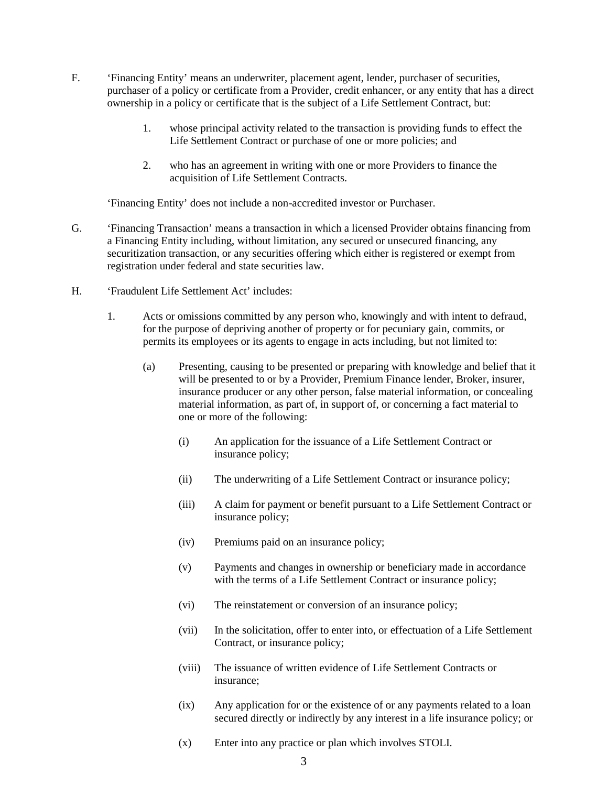- F. 'Financing Entity' means an underwriter, placement agent, lender, purchaser of securities, purchaser of a policy or certificate from a Provider, credit enhancer, or any entity that has a direct ownership in a policy or certificate that is the subject of a Life Settlement Contract, but:
	- 1. whose principal activity related to the transaction is providing funds to effect the Life Settlement Contract or purchase of one or more policies; and
	- 2. who has an agreement in writing with one or more Providers to finance the acquisition of Life Settlement Contracts.

'Financing Entity' does not include a non-accredited investor or Purchaser.

- G. 'Financing Transaction' means a transaction in which a licensed Provider obtains financing from a Financing Entity including, without limitation, any secured or unsecured financing, any securitization transaction, or any securities offering which either is registered or exempt from registration under federal and state securities law.
- H. 'Fraudulent Life Settlement Act' includes:
	- 1. Acts or omissions committed by any person who, knowingly and with intent to defraud, for the purpose of depriving another of property or for pecuniary gain, commits, or permits its employees or its agents to engage in acts including, but not limited to:
		- (a) Presenting, causing to be presented or preparing with knowledge and belief that it will be presented to or by a Provider, Premium Finance lender, Broker, insurer, insurance producer or any other person, false material information, or concealing material information*,* as part of, in support of, or concerning a fact material to one or more of the following:
			- (i) An application for the issuance of a Life Settlement Contract or insurance policy;
			- (ii) The underwriting of a Life Settlement Contract or insurance policy;
			- (iii) A claim for payment or benefit pursuant to a Life Settlement Contract or insurance policy;
			- (iv) Premiums paid on an insurance policy;
			- (v) Payments and changes in ownership or beneficiary made in accordance with the terms of a Life Settlement Contract or insurance policy;
			- (vi) The reinstatement or conversion of an insurance policy;
			- (vii) In the solicitation, offer to enter into, or effectuation of a Life Settlement Contract, or insurance policy;
			- (viii) The issuance of written evidence of Life Settlement Contracts or insurance;
			- (ix) Any application for or the existence of or any payments related to a loan secured directly or indirectly by any interest in a life insurance policy; or
			- (x) Enter into any practice or plan which involves STOLI.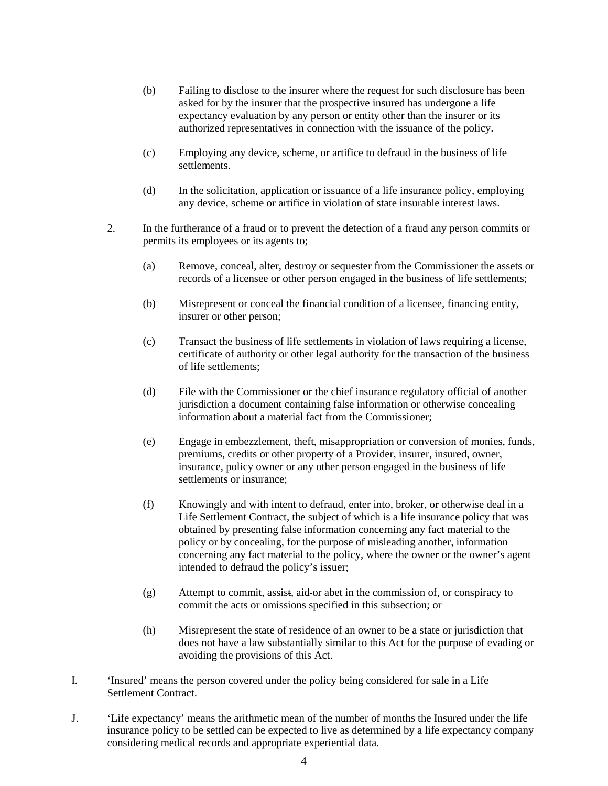- (b) Failing to disclose to the insurer where the request for such disclosure has been asked for by the insurer that the prospective insured has undergone a life expectancy evaluation by any person or entity other than the insurer or its authorized representatives in connection with the issuance of the policy.
- (c) Employing any device, scheme, or artifice to defraud in the business of life settlements.
- (d) In the solicitation, application or issuance of a life insurance policy, employing any device, scheme or artifice in violation of state insurable interest laws.
- 2. In the furtherance of a fraud or to prevent the detection of a fraud any person commits or permits its employees or its agents to;
	- (a) Remove, conceal, alter, destroy or sequester from the Commissioner the assets or records of a licensee or other person engaged in the business of life settlements;
	- (b) Misrepresent or conceal the financial condition of a licensee*,* financing entity, insurer or other person;
	- (c) Transact the business of life settlements in violation of laws requiring a license, certificate of authority or other legal authority for the transaction of the business of life settlements;
	- (d) File with the Commissioner or the chief insurance regulatory official of another jurisdiction a document containing false information or otherwise concealing information about a material fact from the Commissioner;
	- (e) Engage in embezzlement, theft, misappropriation or conversion of monies, funds, premiums, credits or other property of a Provider, insurer, insured, owner, insurance, policy owner or any other person engaged in the business of life settlements or insurance;
	- (f) Knowingly and with intent to defraud, enter into, broker, or otherwise deal in a Life Settlement Contract, the subject of which is a life insurance policy that was obtained by presenting false information concerning any fact material to the policy or by concealing, for the purpose of misleading another, information concerning any fact material to the policy, where the owner or the owner's agent intended to defraud the policy's issuer;
	- (g) Attempt to commit, assist, aid or abet in the commission of, or conspiracy to commit the acts or omissions specified in this subsection; or
	- (h) Misrepresent the state of residence of an owner to be a state or jurisdiction that does not have a law substantially similar to this Act for the purpose of evading or avoiding the provisions of this Act.
- I. 'Insured' means the person covered under the policy being considered for sale in a Life Settlement Contract.
- J. 'Life expectancy' means the arithmetic mean of the number of months the Insured under the life insurance policy to be settled can be expected to live as determined by a life expectancy company considering medical records and appropriate experiential data.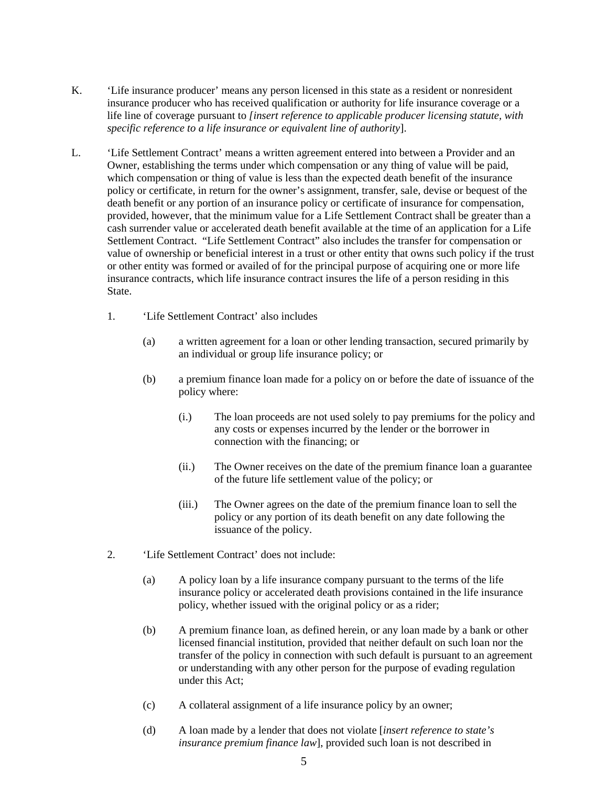- K. 'Life insurance producer' means any person licensed in this state as a resident or nonresident insurance producer who has received qualification or authority for life insurance coverage or a life line of coverage pursuant to *[insert reference to applicable producer licensing statute, with specific reference to a life insurance or equivalent line of authority*].
- L. 'Life Settlement Contract' means a written agreement entered into between a Provider and an Owner, establishing the terms under which compensation or any thing of value will be paid, which compensation or thing of value is less than the expected death benefit of the insurance policy or certificate, in return for the owner's assignment, transfer, sale, devise or bequest of the death benefit or any portion of an insurance policy or certificate of insurance for compensation, provided, however, that the minimum value for a Life Settlement Contract shall be greater than a cash surrender value or accelerated death benefit available at the time of an application for a Life Settlement Contract. "Life Settlement Contract" also includes the transfer for compensation or value of ownership or beneficial interest in a trust or other entity that owns such policy if the trust or other entity was formed or availed of for the principal purpose of acquiring one or more life insurance contracts, which life insurance contract insures the life of a person residing in this State.
	- 1. 'Life Settlement Contract' also includes
		- (a) a written agreement for a loan or other lending transaction, secured primarily by an individual or group life insurance policy; or
		- (b) a premium finance loan made for a policy on or before the date of issuance of the policy where:
			- (i.) The loan proceeds are not used solely to pay premiums for the policy and any costs or expenses incurred by the lender or the borrower in connection with the financing; or
			- (ii.) The Owner receives on the date of the premium finance loan a guarantee of the future life settlement value of the policy; or
			- (iii.) The Owner agrees on the date of the premium finance loan to sell the policy or any portion of its death benefit on any date following the issuance of the policy.
	- 2. 'Life Settlement Contract' does not include:
		- (a) A policy loan by a life insurance company pursuant to the terms of the life insurance policy or accelerated death provisions contained in the life insurance policy, whether issued with the original policy or as a rider;
		- (b) A premium finance loan, as defined herein, or any loan made by a bank or other licensed financial institution, provided that neither default on such loan nor the transfer of the policy in connection with such default is pursuant to an agreement or understanding with any other person for the purpose of evading regulation under this Act;
		- (c) A collateral assignment of a life insurance policy by an owner;
		- (d) A loan made by a lender that does not violate [*insert reference to state's insurance premium finance law*], provided such loan is not described in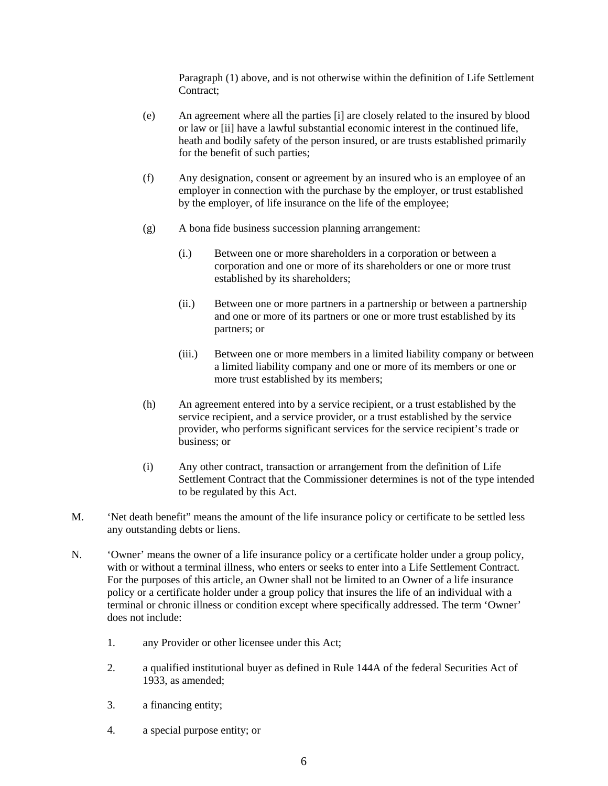Paragraph (1) above, and is not otherwise within the definition of Life Settlement Contract;

- (e) An agreement where all the parties [i] are closely related to the insured by blood or law or [ii] have a lawful substantial economic interest in the continued life, heath and bodily safety of the person insured, or are trusts established primarily for the benefit of such parties;
- (f) Any designation, consent or agreement by an insured who is an employee of an employer in connection with the purchase by the employer, or trust established by the employer, of life insurance on the life of the employee;
- (g) A bona fide business succession planning arrangement:
	- (i.) Between one or more shareholders in a corporation or between a corporation and one or more of its shareholders or one or more trust established by its shareholders;
	- (ii.) Between one or more partners in a partnership or between a partnership and one or more of its partners or one or more trust established by its partners; or
	- (iii.) Between one or more members in a limited liability company or between a limited liability company and one or more of its members or one or more trust established by its members;
- (h) An agreement entered into by a service recipient, or a trust established by the service recipient, and a service provider, or a trust established by the service provider, who performs significant services for the service recipient's trade or business; or
- (i) Any other contract, transaction or arrangement from the definition of Life Settlement Contract that the Commissioner determines is not of the type intended to be regulated by this Act.
- M. 'Net death benefit" means the amount of the life insurance policy or certificate to be settled less any outstanding debts or liens.
- N. 'Owner' means the owner of a life insurance policy or a certificate holder under a group policy, with or without a terminal illness, who enters or seeks to enter into a Life Settlement Contract. For the purposes of this article, an Owner shall not be limited to an Owner of a life insurance policy or a certificate holder under a group policy that insures the life of an individual with a terminal or chronic illness or condition except where specifically addressed. The term 'Owner' does not include:
	- 1. any Provider or other licensee under this Act;
	- 2. a qualified institutional buyer as defined in Rule 144A of the federal Securities Act of 1933, as amended;
	- 3. a financing entity;
	- 4. a special purpose entity; or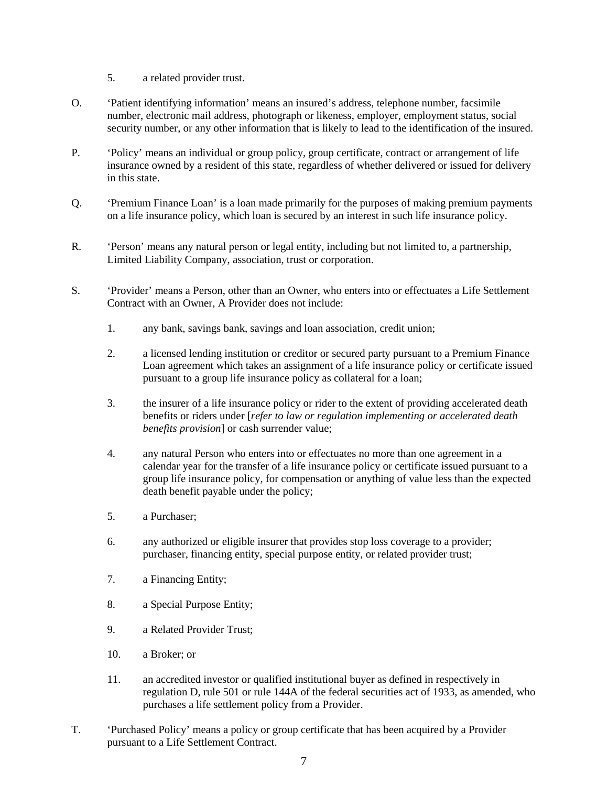- 5. a related provider trust.
- O. 'Patient identifying information' means an insured's address, telephone number, facsimile number, electronic mail address, photograph or likeness, employer, employment status, social security number, or any other information that is likely to lead to the identification of the insured.
- P. 'Policy' means an individual or group policy, group certificate, contract or arrangement of life insurance owned by a resident of this state, regardless of whether delivered or issued for delivery in this state.
- Q. 'Premium Finance Loan' is a loan made primarily for the purposes of making premium payments on a life insurance policy, which loan is secured by an interest in such life insurance policy.
- R. 'Person' means any natural person or legal entity, including but not limited to, a partnership, Limited Liability Company, association, trust or corporation.
- S. 'Provider' means a Person, other than an Owner, who enters into or effectuates a Life Settlement Contract with an Owner, A Provider does not include:
	- 1. any bank, savings bank, savings and loan association, credit union;
	- 2. a licensed lending institution or creditor or secured party pursuant to a Premium Finance Loan agreement which takes an assignment of a life insurance policy or certificate issued pursuant to a group life insurance policy as collateral for a loan;
	- 3. the insurer of a life insurance policy or rider to the extent of providing accelerated death benefits or riders under [*refer to law or regulation implementing or accelerated death benefits provision*] or cash surrender value;
	- 4. any natural Person who enters into or effectuates no more than one agreement in a calendar year for the transfer of a life insurance policy or certificate issued pursuant to a group life insurance policy, for compensation or anything of value less than the expected death benefit payable under the policy;
	- 5. a Purchaser;
	- 6. any authorized or eligible insurer that provides stop loss coverage to a provider; purchaser, financing entity, special purpose entity, or related provider trust;
	- 7. a Financing Entity;
	- 8. a Special Purpose Entity;
	- 9. a Related Provider Trust;
	- 10. a Broker; or
	- 11. an accredited investor or qualified institutional buyer as defined in respectively in regulation D, rule 501 or rule 144A of the federal securities act of 1933, as amended, who purchases a life settlement policy from a Provider.
- T. 'Purchased Policy' means a policy or group certificate that has been acquired by a Provider pursuant to a Life Settlement Contract.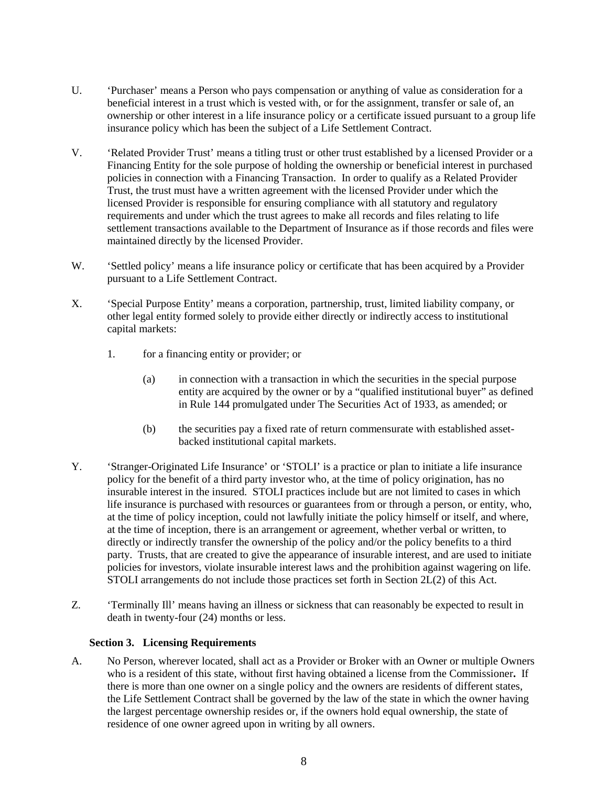- U. 'Purchaser' means a Person who pays compensation or anything of value as consideration for a beneficial interest in a trust which is vested with, or for the assignment, transfer or sale of, an ownership or other interest in a life insurance policy or a certificate issued pursuant to a group life insurance policy which has been the subject of a Life Settlement Contract.
- V. 'Related Provider Trust' means a titling trust or other trust established by a licensed Provider or a Financing Entity for the sole purpose of holding the ownership or beneficial interest in purchased policies in connection with a Financing Transaction. In order to qualify as a Related Provider Trust, the trust must have a written agreement with the licensed Provider under which the licensed Provider is responsible for ensuring compliance with all statutory and regulatory requirements and under which the trust agrees to make all records and files relating to life settlement transactions available to the Department of Insurance as if those records and files were maintained directly by the licensed Provider.
- W. 'Settled policy' means a life insurance policy or certificate that has been acquired by a Provider pursuant to a Life Settlement Contract.
- X. 'Special Purpose Entity' means a corporation, partnership, trust, limited liability company, or other legal entity formed solely to provide either directly or indirectly access to institutional capital markets:
	- 1. for a financing entity or provider; or
		- (a) in connection with a transaction in which the securities in the special purpose entity are acquired by the owner or by a "qualified institutional buyer" as defined in Rule 144 promulgated under The Securities Act of 1933, as amended; or
		- (b) the securities pay a fixed rate of return commensurate with established asset backed institutional capital markets.
- Y. 'Stranger-Originated Life Insurance' or 'STOLI' is a practice or plan to initiate a life insurance policy for the benefit of a third party investor who, at the time of policy origination, has no insurable interest in the insured. STOLI practices include but are not limited to cases in which life insurance is purchased with resources or guarantees from or through a person, or entity, who, at the time of policy inception, could not lawfully initiate the policy himself or itself, and where, at the time of inception, there is an arrangement or agreement, whether verbal or written, to directly or indirectly transfer the ownership of the policy and/or the policy benefits to a third party. Trusts, that are created to give the appearance of insurable interest, and are used to initiate policies for investors, violate insurable interest laws and the prohibition against wagering on life. STOLI arrangements do not include those practices set forth in Section 2L(2) of this Act.
- Z. 'Terminally Ill' means having an illness or sickness that can reasonably be expected to result in death in twenty-four (24) months or less.

### **Section 3. Licensing Requirements**

A. No Person, wherever located, shall act as a Provider or Broker with an Owner or multiple Owners who is a resident of this state, without first having obtained a license from the Commissioner**.** If there is more than one owner on a single policy and the owners are residents of different states, the Life Settlement Contract shall be governed by the law of the state in which the owner having the largest percentage ownership resides or, if the owners hold equal ownership, the state of residence of one owner agreed upon in writing by all owners.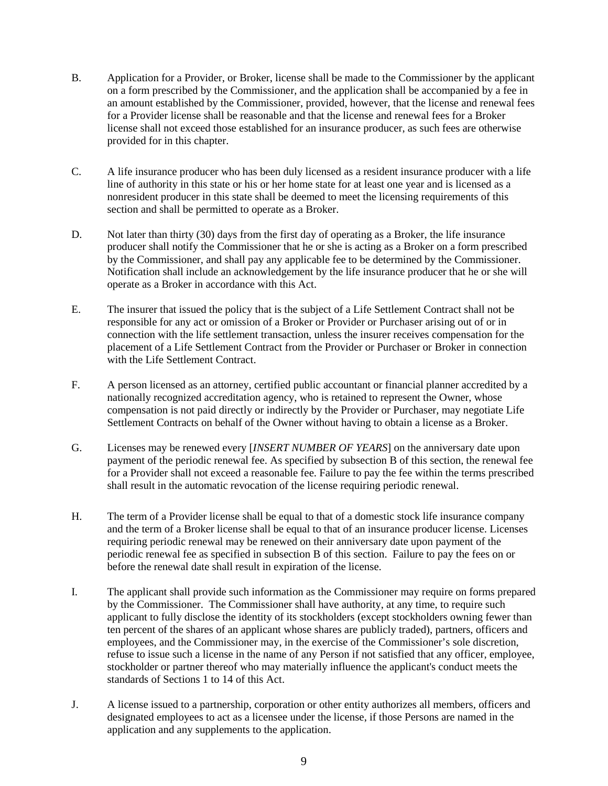- B. Application for a Provider, or Broker, license shall be made to the Commissioner by the applicant on a form prescribed by the Commissioner, and the application shall be accompanied by a fee in an amount established by the Commissioner, provided, however, that the license and renewal fees for a Provider license shall be reasonable and that the license and renewal fees for a Broker license shall not exceed those established for an insurance producer, as such fees are otherwise provided for in this chapter.
- C. A life insurance producer who has been duly licensed as a resident insurance producer with a life line of authority in this state or his or her home state for at least one year and is licensed as a nonresident producer in this state shall be deemed to meet the licensing requirements of this section and shall be permitted to operate as a Broker.
- D. Not later than thirty (30) days from the first day of operating as a Broker, the life insurance producer shall notify the Commissioner that he or she is acting as a Broker on a form prescribed by the Commissioner, and shall pay any applicable fee to be determined by the Commissioner. Notification shall include an acknowledgement by the life insurance producer that he or she will operate as a Broker in accordance with this Act.
- E. The insurer that issued the policy that is the subject of a Life Settlement Contract shall not be responsible for any act or omission of a Broker or Provider or Purchaser arising out of or in connection with the life settlement transaction, unless the insurer receives compensation for the placement of a Life Settlement Contract from the Provider or Purchaser or Broker in connection with the Life Settlement Contract.
- F. A person licensed as an attorney, certified public accountant or financial planner accredited by a nationally recognized accreditation agency, who is retained to represent the Owner, whose compensation is not paid directly or indirectly by the Provider or Purchaser, may negotiate Life Settlement Contracts on behalf of the Owner without having to obtain a license as a Broker.
- G. Licenses may be renewed every [*INSERT NUMBER OF YEARS*] on the anniversary date upon payment of the periodic renewal fee. As specified by subsection B of this section, the renewal fee for a Provider shall not exceed a reasonable fee. Failure to pay the fee within the terms prescribed shall result in the automatic revocation of the license requiring periodic renewal.
- H. The term of a Provider license shall be equal to that of a domestic stock life insurance company and the term of a Broker license shall be equal to that of an insurance producer license. Licenses requiring periodic renewal may be renewed on their anniversary date upon payment of the periodic renewal fee as specified in subsection B of this section. Failure to pay the fees on or before the renewal date shall result in expiration of the license.
- I. The applicant shall provide such information as the Commissioner may require on forms prepared by the Commissioner. The Commissioner shall have authority, at any time, to require such applicant to fully disclose the identity of its stockholders (except stockholders owning fewer than ten percent of the shares of an applicant whose shares are publicly traded), partners, officers and employees, and the Commissioner may, in the exercise of the Commissioner's sole discretion, refuse to issue such a license in the name of any Person if not satisfied that any officer, employee, stockholder or partner thereof who may materially influence the applicant's conduct meets the standards of Sections 1 to 14 of this Act.
- J. A license issued to a partnership, corporation or other entity authorizes all members, officers and designated employees to act as a licensee under the license, if those Persons are named in the application and any supplements to the application.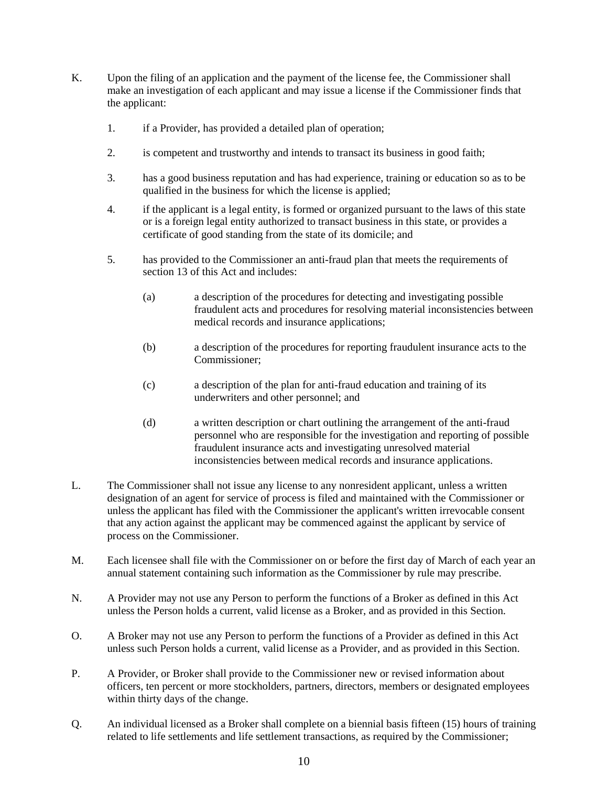- K. Upon the filing of an application and the payment of the license fee, the Commissioner shall make an investigation of each applicant and may issue a license if the Commissioner finds that the applicant:
	- 1. if a Provider, has provided a detailed plan of operation;
	- 2. is competent and trustworthy and intends to transact its business in good faith;
	- 3. has a good business reputation and has had experience, training or education so as to be qualified in the business for which the license is applied;
	- 4. if the applicant is a legal entity, is formed or organized pursuant to the laws of this state or is a foreign legal entity authorized to transact business in this state, or provides a certificate of good standing from the state of its domicile; and
	- 5. has provided to the Commissioner an anti-fraud plan that meets the requirements of section 13 of this Act and includes:
		- (a) a description of the procedures for detecting and investigating possible fraudulent acts and procedures for resolving material inconsistencies between medical records and insurance applications;
		- (b) a description of the procedures for reporting fraudulent insurance acts to the Commissioner;
		- (c) a description of the plan for anti-fraud education and training of its underwriters and other personnel; and
		- (d) a written description or chart outlining the arrangement of the anti-fraud personnel who are responsible for the investigation and reporting of possible fraudulent insurance acts and investigating unresolved material inconsistencies between medical records and insurance applications.
- L. The Commissioner shall not issue any license to any nonresident applicant, unless a written designation of an agent for service of process is filed and maintained with the Commissioner or unless the applicant has filed with the Commissioner the applicant's written irrevocable consent that any action against the applicant may be commenced against the applicant by service of process on the Commissioner.
- M. Each licensee shall file with the Commissioner on or before the first day of March of each year an annual statement containing such information as the Commissioner by rule may prescribe.
- N. A Provider may not use any Person to perform the functions of a Broker as defined in this Act unless the Person holds a current, valid license as a Broker, and as provided in this Section.
- O. A Broker may not use any Person to perform the functions of a Provider as defined in this Act unless such Person holds a current, valid license as a Provider, and as provided in this Section.
- P. A Provider, or Broker shall provide to the Commissioner new or revised information about officers, ten percent or more stockholders, partners, directors, members or designated employees within thirty days of the change.
- Q. An individual licensed as a Broker shall complete on a biennial basis fifteen (15) hours of training related to life settlements and life settlement transactions, as required by the Commissioner;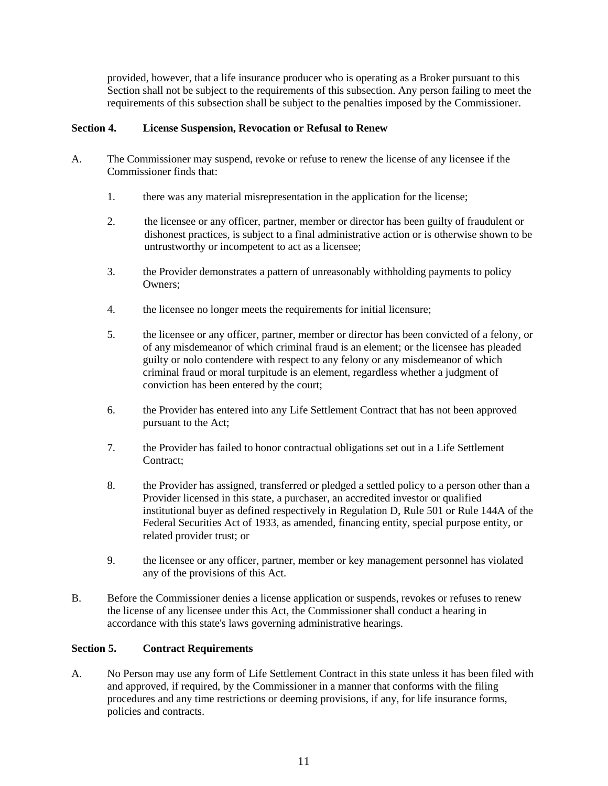provided, however, that a life insurance producer who is operating as a Broker pursuant to this Section shall not be subject to the requirements of this subsection. Any person failing to meet the requirements of this subsection shall be subject to the penalties imposed by the Commissioner.

## **Section 4. License Suspension, Revocation or Refusal to Renew**

- A. The Commissioner may suspend, revoke or refuse to renew the license of any licensee if the Commissioner finds that:
	- 1. there was any material misrepresentation in the application for the license;
	- 2. the licensee or any officer, partner, member or director has been guilty of fraudulent or dishonest practices, is subject to a final administrative action or is otherwise shown to be untrustworthy or incompetent to act as a licensee;
	- 3. the Provider demonstrates a pattern of unreasonably withholding payments to policy Owners;
	- 4. the licensee no longer meets the requirements for initial licensure;
	- 5. the licensee or any officer, partner, member or director has been convicted of a felony, or of any misdemeanor of which criminal fraud is an element; or the licensee has pleaded guilty or nolo contendere with respect to any felony or any misdemeanor of which criminal fraud or moral turpitude is an element, regardless whether a judgment of conviction has been entered by the court;
	- 6. the Provider has entered into any Life Settlement Contract that has not been approved pursuant to the Act;
	- 7. the Provider has failed to honor contractual obligations set out in a Life Settlement Contract;
	- 8. the Provider has assigned, transferred or pledged a settled policy to a person other than a Provider licensed in this state, a purchaser, an accredited investor or qualified institutional buyer as defined respectively in Regulation D, Rule 501 or Rule 144A of the Federal Securities Act of 1933, as amended, financing entity, special purpose entity, or related provider trust; or
	- 9. the licensee or any officer, partner, member or key management personnel has violated any of the provisions of this Act.
- B. Before the Commissioner denies a license application or suspends, revokes or refuses to renew the license of any licensee under this Act, the Commissioner shall conduct a hearing in accordance with this state's laws governing administrative hearings.

### **Section 5. Contract Requirements**

A. No Person may use any form of Life Settlement Contract in this state unless it has been filed with and approved, if required, by the Commissioner in a manner that conforms with the filing procedures and any time restrictions or deeming provisions, if any, for life insurance forms, policies and contracts.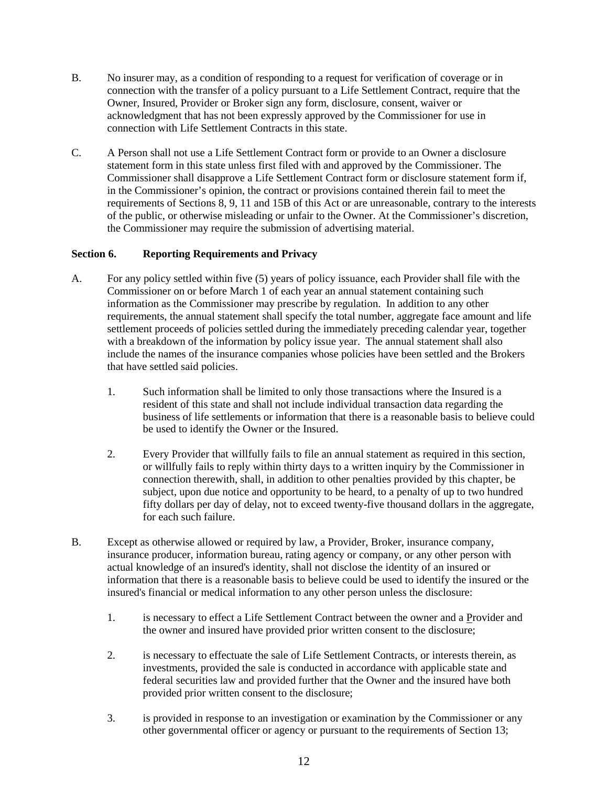- B. No insurer may, as a condition of responding to a request for verification of coverage or in connection with the transfer of a policy pursuant to a Life Settlement Contract, require that the Owner, Insured, Provider or Broker sign any form, disclosure, consent, waiver or acknowledgment that has not been expressly approved by the Commissioner for use in connection with Life Settlement Contracts in this state.
- C. A Person shall not use a Life Settlement Contract form or provide to an Owner a disclosure statement form in this state unless first filed with and approved by the Commissioner. The Commissioner shall disapprove a Life Settlement Contract form or disclosure statement form if, in the Commissioner's opinion, the contract or provisions contained therein fail to meet the requirements of Sections 8, 9, 11 and 15B of this Act or are unreasonable, contrary to the interests of the public, or otherwise misleading or unfair to the Owner. At the Commissioner's discretion, the Commissioner may require the submission of advertising material.

# **Section 6. Reporting Requirements and Privacy**

- A. For any policy settled within five (5) years of policy issuance, each Provider shall file with the Commissioner on or before March 1 of each year an annual statement containing such information as the Commissioner may prescribe by regulation. In addition to any other requirements, the annual statement shall specify the total number, aggregate face amount and life settlement proceeds of policies settled during the immediately preceding calendar year, together with a breakdown of the information by policy issue year. The annual statement shall also include the names of the insurance companies whose policies have been settled and the Brokers that have settled said policies.
	- 1. Such information shall be limited to only those transactions where the Insured is a resident of this state and shall not include individual transaction data regarding the business of life settlements or information that there is a reasonable basis to believe could be used to identify the Owner or the Insured.
	- 2. Every Provider that willfully fails to file an annual statement as required in this section, or willfully fails to reply within thirty days to a written inquiry by the Commissioner in connection therewith, shall, in addition to other penalties provided by this chapter, be subject, upon due notice and opportunity to be heard, to a penalty of up to two hundred fifty dollars per day of delay, not to exceed twenty-five thousand dollars in the aggregate, for each such failure.
- B. Except as otherwise allowed or required by law, a Provider, Broker, insurance company, insurance producer, information bureau, rating agency or company, or any other person with actual knowledge of an insured's identity, shall not disclose the identity of an insured or information that there is a reasonable basis to believe could be used to identify the insured or the insured's financial or medical information to any other person unless the disclosure:
	- 1. is necessary to effect a Life Settlement Contract between the owner and a Provider and the owner and insured have provided prior written consent to the disclosure;
	- 2. is necessary to effectuate the sale of Life Settlement Contracts, or interests therein, as investments, provided the sale is conducted in accordance with applicable state and federal securities law and provided further that the Owner and the insured have both provided prior written consent to the disclosure;
	- 3. is provided in response to an investigation or examination by the Commissioner or any other governmental officer or agency or pursuant to the requirements of Section 13;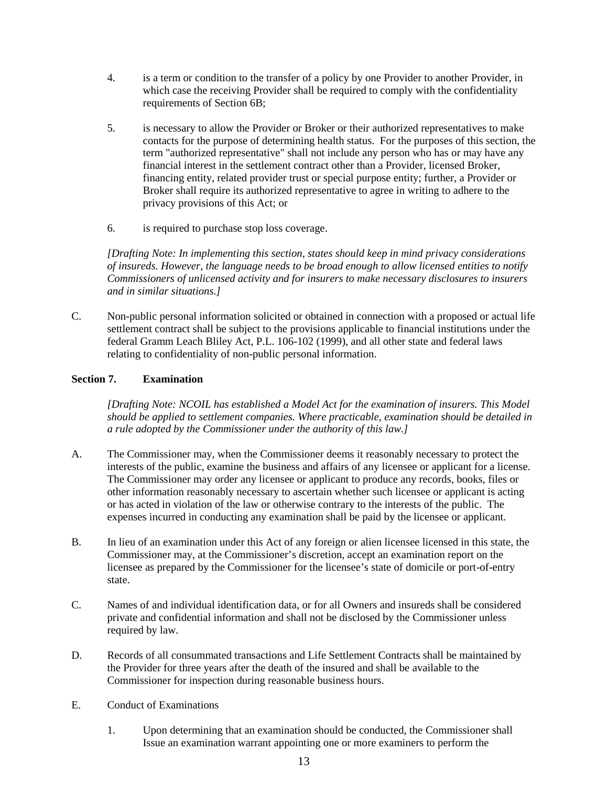- 4. is a term or condition to the transfer of a policy by one Provider to another Provider, in which case the receiving Provider shall be required to comply with the confidentiality requirements of Section 6B;
- 5. is necessary to allow the Provider or Broker or their authorized representatives to make contacts for the purpose of determining health status. For the purposes of this section, the term "authorized representative" shall not include any person who has or may have any financial interest in the settlement contract other than a Provider, licensed Broker, financing entity, related provider trust or special purpose entity; further, a Provider or Broker shall require its authorized representative to agree in writing to adhere to the privacy provisions of this Act; or
- 6. is required to purchase stop loss coverage.

*[Drafting Note: In implementing this section, states should keep in mind privacy considerations of insureds. However, the language needs to be broad enough to allow licensed entities to notify Commissioners of unlicensed activity and for insurers to make necessary disclosures to insurers and in similar situations.]*

C. Non-public personal information solicited or obtained in connection with a proposed or actual life settlement contract shall be subject to the provisions applicable to financial institutions under the federal Gramm Leach Bliley Act, P.L. 106-102 (1999), and all other state and federal laws relating to confidentiality of non-public personal information.

# **Section 7. Examination**

*[Drafting Note: NCOIL has established a Model Act for the examination of insurers. This Model should be applied to settlement companies. Where practicable, examination should be detailed in a rule adopted by the Commissioner under the authority of this law.]*

- A. The Commissioner may, when the Commissioner deems it reasonably necessary to protect the interests of the public, examine the business and affairs of any licensee or applicant for a license. The Commissioner may order any licensee or applicant to produce any records, books, files or other information reasonably necessary to ascertain whether such licensee or applicant is acting or has acted in violation of the law or otherwise contrary to the interests of the public. The expenses incurred in conducting any examination shall be paid by the licensee or applicant.
- B. In lieu of an examination under this Act of any foreign or alien licensee licensed in this state, the Commissioner may, at the Commissioner's discretion, accept an examination report on the licensee as prepared by the Commissioner for the licensee's state of domicile or port-of-entry state.
- C. Names of and individual identification data, or for all Owners and insureds shall be considered private and confidential information and shall not be disclosed by the Commissioner unless required by law.
- D. Records of all consummated transactions and Life Settlement Contracts shall be maintained by the Provider for three years after the death of the insured and shall be available to the Commissioner for inspection during reasonable business hours.
- E. Conduct of Examinations
	- 1. Upon determining that an examination should be conducted, the Commissioner shall Issue an examination warrant appointing one or more examiners to perform the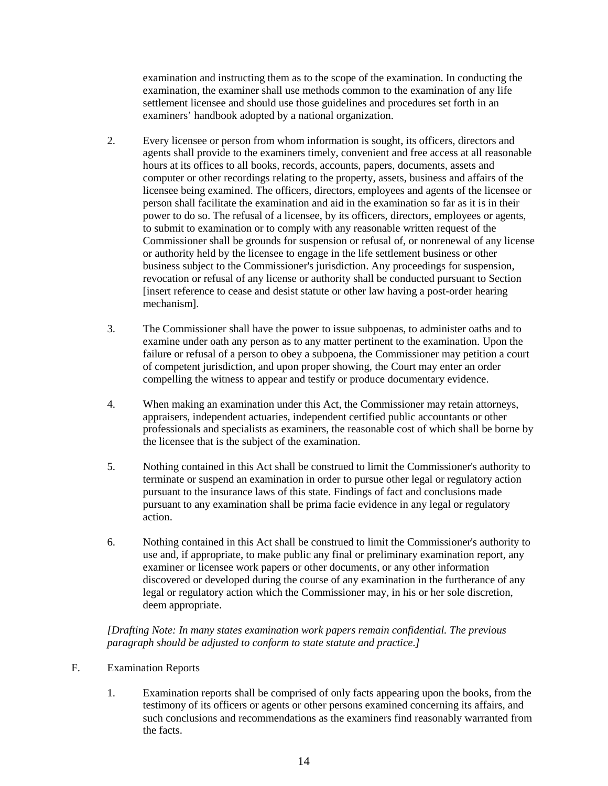examination and instructing them as to the scope of the examination. In conducting the examination, the examiner shall use methods common to the examination of any life settlement licensee and should use those guidelines and procedures set forth in an examiners' handbook adopted by a national organization.

- 2. Every licensee or person from whom information is sought, its officers, directors and agents shall provide to the examiners timely, convenient and free access at all reasonable hours at its offices to all books, records, accounts, papers, documents, assets and computer or other recordings relating to the property, assets, business and affairs of the licensee being examined. The officers, directors, employees and agents of the licensee or person shall facilitate the examination and aid in the examination so far as it is in their power to do so. The refusal of a licensee, by its officers, directors, employees or agents, to submit to examination or to comply with any reasonable written request of the Commissioner shall be grounds for suspension or refusal of, or nonrenewal of any license or authority held by the licensee to engage in the life settlement business or other business subject to the Commissioner's jurisdiction. Any proceedings for suspension, revocation or refusal of any license or authority shall be conducted pursuant to Section [insert reference to cease and desist statute or other law having a post-order hearing mechanism].
- 3. The Commissioner shall have the power to issue subpoenas, to administer oaths and to examine under oath any person as to any matter pertinent to the examination. Upon the failure or refusal of a person to obey a subpoena, the Commissioner may petition a court of competent jurisdiction, and upon proper showing, the Court may enter an order compelling the witness to appear and testify or produce documentary evidence.
- 4. When making an examination under this Act, the Commissioner may retain attorneys, appraisers, independent actuaries, independent certified public accountants or other professionals and specialists as examiners, the reasonable cost of which shall be borne by the licensee that is the subject of the examination.
- 5. Nothing contained in this Act shall be construed to limit the Commissioner's authority to terminate or suspend an examination in order to pursue other legal or regulatory action pursuant to the insurance laws of this state. Findings of fact and conclusions made pursuant to any examination shall be prima facie evidence in any legal or regulatory action.
- 6. Nothing contained in this Act shall be construed to limit the Commissioner's authority to use and, if appropriate, to make public any final or preliminary examination report, any examiner or licensee work papers or other documents, or any other information discovered or developed during the course of any examination in the furtherance of any legal or regulatory action which the Commissioner may, in his or her sole discretion, deem appropriate.

*[Drafting Note: In many states examination work papers remain confidential. The previous paragraph should be adjusted to conform to state statute and practice.]*

### F. Examination Reports

1. Examination reports shall be comprised of only facts appearing upon the books, from the testimony of its officers or agents or other persons examined concerning its affairs, and such conclusions and recommendations as the examiners find reasonably warranted from the facts.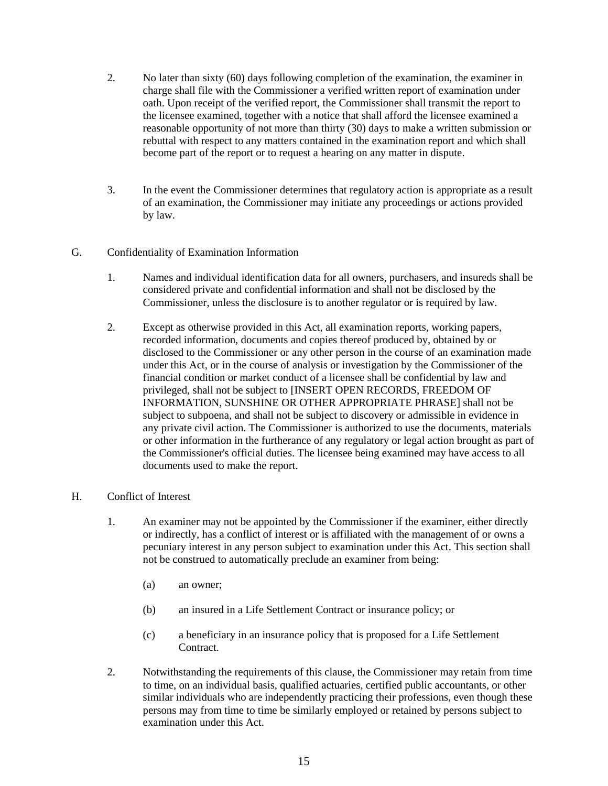- 2. No later than sixty (60) days following completion of the examination, the examiner in charge shall file with the Commissioner a verified written report of examination under oath. Upon receipt of the verified report, the Commissioner shall transmit the report to the licensee examined, together with a notice that shall afford the licensee examined a reasonable opportunity of not more than thirty (30) days to make a written submission or rebuttal with respect to any matters contained in the examination report and which shall become part of the report or to request a hearing on any matter in dispute.
- 3. In the event the Commissioner determines that regulatory action is appropriate as a result of an examination, the Commissioner may initiate any proceedings or actions provided by law.

## G. Confidentiality of Examination Information

- 1. Names and individual identification data for all owners, purchasers, and insureds shall be considered private and confidential information and shall not be disclosed by the Commissioner, unless the disclosure is to another regulator or is required by law.
- 2. Except as otherwise provided in this Act, all examination reports, working papers, recorded information, documents and copies thereof produced by, obtained by or disclosed to the Commissioner or any other person in the course of an examination made under this Act, or in the course of analysis or investigation by the Commissioner of the financial condition or market conduct of a licensee shall be confidential by law and privileged, shall not be subject to [INSERT OPEN RECORDS, FREEDOM OF INFORMATION, SUNSHINE OR OTHER APPROPRIATE PHRASE] shall not be subject to subpoena, and shall not be subject to discovery or admissible in evidence in any private civil action. The Commissioner is authorized to use the documents, materials or other information in the furtherance of any regulatory or legal action brought as part of the Commissioner's official duties. The licensee being examined may have access to all documents used to make the report.

### H. Conflict of Interest

- 1. An examiner may not be appointed by the Commissioner if the examiner, either directly or indirectly, has a conflict of interest or is affiliated with the management of or owns a pecuniary interest in any person subject to examination under this Act. This section shall not be construed to automatically preclude an examiner from being:
	- (a) an owner;
	- (b) an insured in a Life Settlement Contract or insurance policy; or
	- (c) a beneficiary in an insurance policy that is proposed for a Life Settlement Contract.
- 2. Notwithstanding the requirements of this clause, the Commissioner may retain from time to time, on an individual basis, qualified actuaries, certified public accountants, or other similar individuals who are independently practicing their professions, even though these persons may from time to time be similarly employed or retained by persons subject to examination under this Act.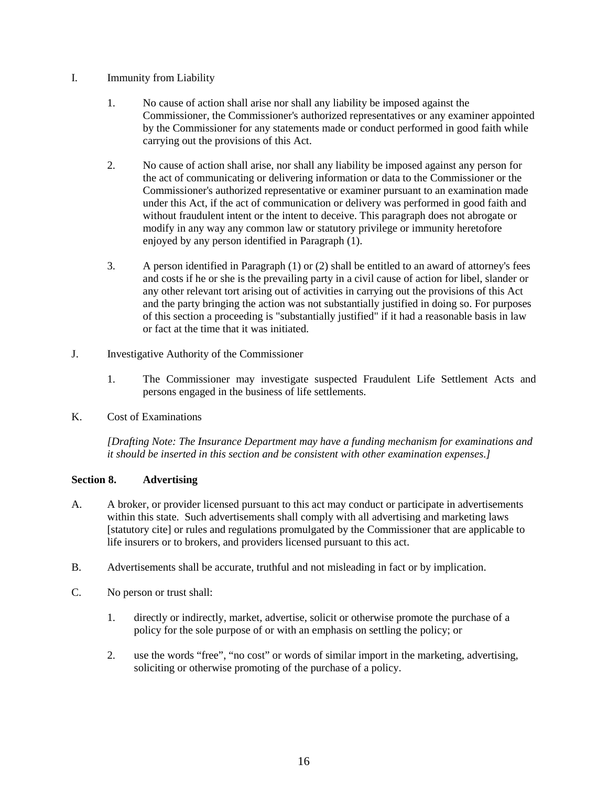## I. Immunity from Liability

- 1. No cause of action shall arise nor shall any liability be imposed against the Commissioner, the Commissioner's authorized representatives or any examiner appointed by the Commissioner for any statements made or conduct performed in good faith while carrying out the provisions of this Act.
- 2. No cause of action shall arise, nor shall any liability be imposed against any person for the act of communicating or delivering information or data to the Commissioner or the Commissioner's authorized representative or examiner pursuant to an examination made under this Act, if the act of communication or delivery was performed in good faith and without fraudulent intent or the intent to deceive. This paragraph does not abrogate or modify in any way any common law or statutory privilege or immunity heretofore enjoyed by any person identified in Paragraph (1).
- 3. A person identified in Paragraph (1) or (2) shall be entitled to an award of attorney's fees and costs if he or she is the prevailing party in a civil cause of action for libel, slander or any other relevant tort arising out of activities in carrying out the provisions of this Act and the party bringing the action was not substantially justified in doing so. For purposes of this section a proceeding is "substantially justified" if it had a reasonable basis in law or fact at the time that it was initiated.
- J. Investigative Authority of the Commissioner
	- 1. The Commissioner may investigate suspected Fraudulent Life Settlement Acts and persons engaged in the business of life settlements.
- K. Cost of Examinations

*[Drafting Note: The Insurance Department may have a funding mechanism for examinations and it should be inserted in this section and be consistent with other examination expenses.]*

# **Section 8. Advertising**

- A. A broker, or provider licensed pursuant to this act may conduct or participate in advertisements within this state. Such advertisements shall comply with all advertising and marketing laws [statutory cite] or rules and regulations promulgated by the Commissioner that are applicable to life insurers or to brokers, and providers licensed pursuant to this act.
- B. Advertisements shall be accurate, truthful and not misleading in fact or by implication.
- C. No person or trust shall:
	- 1. directly or indirectly, market, advertise, solicit or otherwise promote the purchase of a policy for the sole purpose of or with an emphasis on settling the policy; or
	- 2. use the words "free", "no cost" or words of similar import in the marketing, advertising, soliciting or otherwise promoting of the purchase of a policy.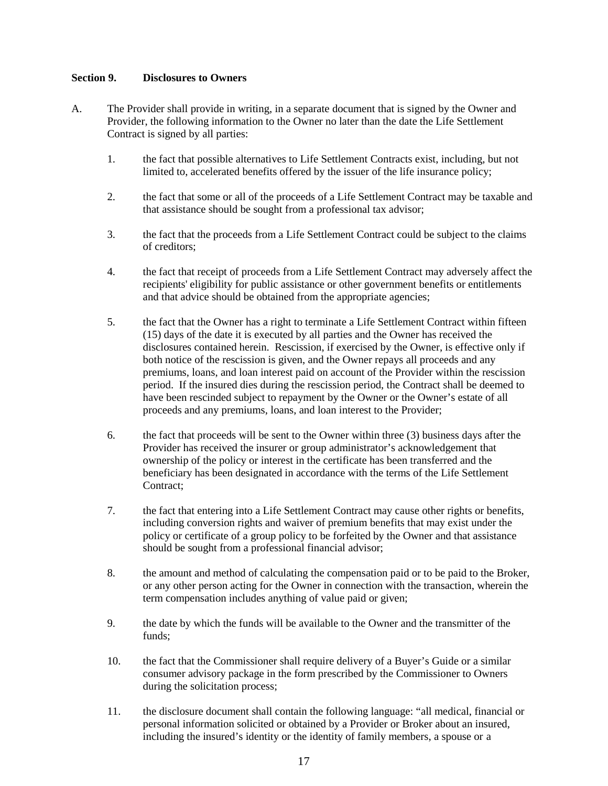### **Section 9. Disclosures to Owners**

- A. The Provider shall provide in writing, in a separate document that is signed by the Owner and Provider, the following information to the Owner no later than the date the Life Settlement Contract is signed by all parties:
	- 1. the fact that possible alternatives to Life Settlement Contracts exist, including, but not limited to, accelerated benefits offered by the issuer of the life insurance policy;
	- 2. the fact that some or all of the proceeds of a Life Settlement Contract may be taxable and that assistance should be sought from a professional tax advisor;
	- 3. the fact that the proceeds from a Life Settlement Contract could be subject to the claims of creditors;
	- 4. the fact that receipt of proceeds from a Life Settlement Contract may adversely affect the recipients' eligibility for public assistance or other government benefits or entitlements and that advice should be obtained from the appropriate agencies;
	- 5. the fact that the Owner has a right to terminate a Life Settlement Contract within fifteen (15) days of the date it is executed by all parties and the Owner has received the disclosures contained herein. Rescission, if exercised by the Owner, is effective only if both notice of the rescission is given, and the Owner repays all proceeds and any premiums, loans, and loan interest paid on account of the Provider within the rescission period. If the insured dies during the rescission period, the Contract shall be deemed to have been rescinded subject to repayment by the Owner or the Owner's estate of all proceeds and any premiums, loans, and loan interest to the Provider;
	- 6. the fact that proceeds will be sent to the Owner within three (3) business days after the Provider has received the insurer or group administrator's acknowledgement that ownership of the policy or interest in the certificate has been transferred and the beneficiary has been designated in accordance with the terms of the Life Settlement Contract:
	- 7. the fact that entering into a Life Settlement Contract may cause other rights or benefits, including conversion rights and waiver of premium benefits that may exist under the policy or certificate of a group policy to be forfeited by the Owner and that assistance should be sought from a professional financial advisor;
	- 8. the amount and method of calculating the compensation paid or to be paid to the Broker, or any other person acting for the Owner in connection with the transaction, wherein the term compensation includes anything of value paid or given;
	- 9. the date by which the funds will be available to the Owner and the transmitter of the funds;
	- 10. the fact that the Commissioner shall require delivery of a Buyer's Guide or a similar consumer advisory package in the form prescribed by the Commissioner to Owners during the solicitation process;
	- 11. the disclosure document shall contain the following language: "all medical, financial or personal information solicited or obtained by a Provider or Broker about an insured, including the insured's identity or the identity of family members, a spouse or a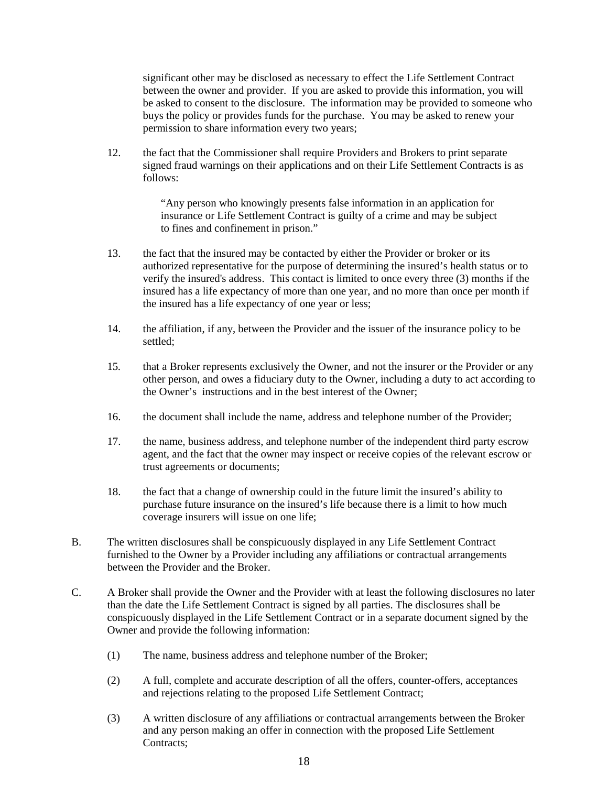significant other may be disclosed as necessary to effect the Life Settlement Contract between the owner and provider. If you are asked to provide this information, you will be asked to consent to the disclosure. The information may be provided to someone who buys the policy or provides funds for the purchase. You may be asked to renew your permission to share information every two years;

12. the fact that the Commissioner shall require Providers and Brokers to print separate signed fraud warnings on their applications and on their Life Settlement Contracts is as follows:

> "Any person who knowingly presents false information in an application for insurance or Life Settlement Contract is guilty of a crime and may be subject to fines and confinement in prison."

- 13. the fact that the insured may be contacted by either the Provider or broker or its authorized representative for the purpose of determining the insured's health status or to verify the insured's address. This contact is limited to once every three (3) months if the insured has a life expectancy of more than one year, and no more than once per month if the insured has a life expectancy of one year or less;
- 14. the affiliation, if any, between the Provider and the issuer of the insurance policy to be settled;
- 15*.* that a Broker represents exclusively the Owner, and not the insurer or the Provider or any other person, and owes a fiduciary duty to the Owner, including a duty to act according to the Owner's instructions and in the best interest of the Owner;
- 16. the document shall include the name, address and telephone number of the Provider;
- 17. the name, business address, and telephone number of the independent third party escrow agent, and the fact that the owner may inspect or receive copies of the relevant escrow or trust agreements or documents;
- 18. the fact that a change of ownership could in the future limit the insured's ability to purchase future insurance on the insured's life because there is a limit to how much coverage insurers will issue on one life;
- B. The written disclosures shall be conspicuously displayed in any Life Settlement Contract furnished to the Owner by a Provider including any affiliations or contractual arrangements between the Provider and the Broker.
- C. A Broker shall provide the Owner and the Provider with at least the following disclosures no later than the date the Life Settlement Contract is signed by all parties. The disclosures shall be conspicuously displayed in the Life Settlement Contract or in a separate document signed by the Owner and provide the following information:
	- (1) The name, business address and telephone number of the Broker;
	- (2) A full, complete and accurate description of all the offers, counter-offers, acceptances and rejections relating to the proposed Life Settlement Contract;
	- (3) A written disclosure of any affiliations or contractual arrangements between the Broker and any person making an offer in connection with the proposed Life Settlement Contracts;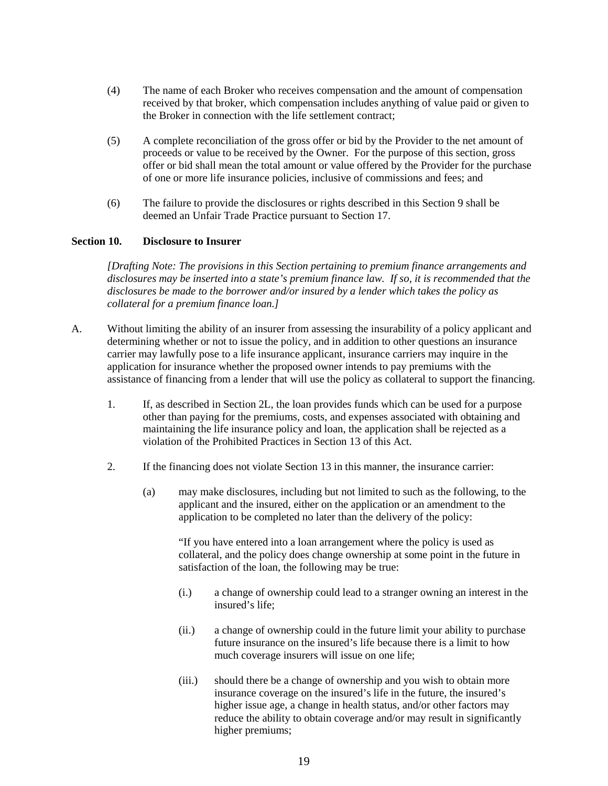- (4) The name of each Broker who receives compensation and the amount of compensation received by that broker, which compensation includes anything of value paid or given to the Broker in connection with the life settlement contract;
- (5) A complete reconciliation of the gross offer or bid by the Provider to the net amount of proceeds or value to be received by the Owner. For the purpose of this section, gross offer or bid shall mean the total amount or value offered by the Provider for the purchase of one or more life insurance policies, inclusive of commissions and fees; and
- (6) The failure to provide the disclosures or rights described in this Section 9 shall be deemed an Unfair Trade Practice pursuant to Section 17.

#### **Section 10. Disclosure to Insurer**

*[Drafting Note: The provisions in this Section pertaining to premium finance arrangements and disclosures may be inserted into a state's premium finance law. If so, it is recommended that the disclosures be made to the borrower and/or insured by a lender which takes the policy as collateral for a premium finance loan.]*

- A. Without limiting the ability of an insurer from assessing the insurability of a policy applicant and determining whether or not to issue the policy, and in addition to other questions an insurance carrier may lawfully pose to a life insurance applicant, insurance carriers may inquire in the application for insurance whether the proposed owner intends to pay premiums with the assistance of financing from a lender that will use the policy as collateral to support the financing.
	- 1. If, as described in Section 2L, the loan provides funds which can be used for a purpose other than paying for the premiums, costs, and expenses associated with obtaining and maintaining the life insurance policy and loan, the application shall be rejected as a violation of the Prohibited Practices in Section 13 of this Act.
	- 2. If the financing does not violate Section 13 in this manner, the insurance carrier:
		- (a) may make disclosures, including but not limited to such as the following, to the applicant and the insured, either on the application or an amendment to the application to be completed no later than the delivery of the policy:

"If you have entered into a loan arrangement where the policy is used as collateral, and the policy does change ownership at some point in the future in satisfaction of the loan, the following may be true:

- (i.) a change of ownership could lead to a stranger owning an interest in the insured's life;
- (ii.) a change of ownership could in the future limit your ability to purchase future insurance on the insured's life because there is a limit to how much coverage insurers will issue on one life;
- (iii.) should there be a change of ownership and you wish to obtain more insurance coverage on the insured's life in the future, the insured's higher issue age, a change in health status, and/or other factors may reduce the ability to obtain coverage and/or may result in significantly higher premiums;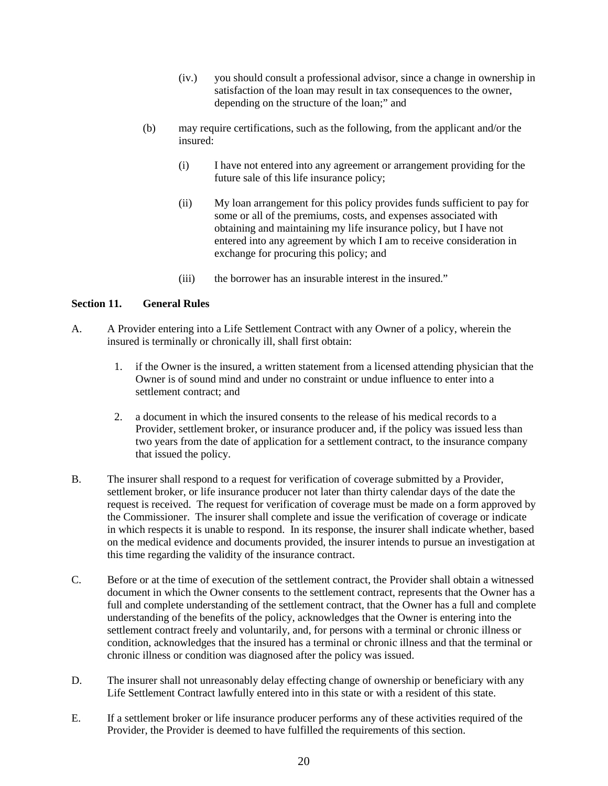- (iv.) you should consult a professional advisor, since a change in ownership in satisfaction of the loan may result in tax consequences to the owner, depending on the structure of the loan;" and
- (b) may require certifications, such as the following, from the applicant and/or the insured:
	- (i) I have not entered into any agreement or arrangement providing for the future sale of this life insurance policy;
	- (ii) My loan arrangement for this policy provides funds sufficient to pay for some or all of the premiums, costs, and expenses associated with obtaining and maintaining my life insurance policy, but I have not entered into any agreement by which I am to receive consideration in exchange for procuring this policy; and
	- (iii) the borrower has an insurable interest in the insured."

# **Section 11. General Rules**

- A. A Provider entering into a Life Settlement Contract with any Owner of a policy, wherein the insured is terminally or chronically ill, shall first obtain:
	- 1. if the Owner is the insured, a written statement from a licensed attending physician that the Owner is of sound mind and under no constraint or undue influence to enter into a settlement contract; and
	- 2. a document in which the insured consents to the release of his medical records to a Provider, settlement broker, or insurance producer and, if the policy was issued less than two years from the date of application for a settlement contract, to the insurance company that issued the policy.
- B. The insurer shall respond to a request for verification of coverage submitted by a Provider, settlement broker, or life insurance producer not later than thirty calendar days of the date the request is received. The request for verification of coverage must be made on a form approved by the Commissioner. The insurer shall complete and issue the verification of coverage or indicate in which respects it is unable to respond. In its response, the insurer shall indicate whether, based on the medical evidence and documents provided, the insurer intends to pursue an investigation at this time regarding the validity of the insurance contract.
- C. Before or at the time of execution of the settlement contract, the Provider shall obtain a witnessed document in which the Owner consents to the settlement contract, represents that the Owner has a full and complete understanding of the settlement contract, that the Owner has a full and complete understanding of the benefits of the policy, acknowledges that the Owner is entering into the settlement contract freely and voluntarily, and, for persons with a terminal or chronic illness or condition, acknowledges that the insured has a terminal or chronic illness and that the terminal or chronic illness or condition was diagnosed after the policy was issued.
- D. The insurer shall not unreasonably delay effecting change of ownership or beneficiary with any Life Settlement Contract lawfully entered into in this state or with a resident of this state.
- E. If a settlement broker or life insurance producer performs any of these activities required of the Provider, the Provider is deemed to have fulfilled the requirements of this section.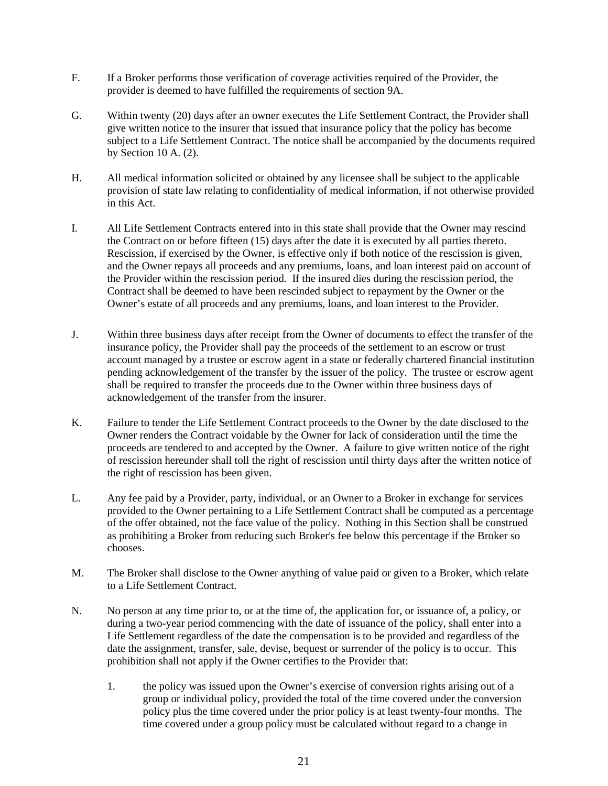- F. If a Broker performs those verification of coverage activities required of the Provider, the provider is deemed to have fulfilled the requirements of section 9A.
- G. Within twenty (20) days after an owner executes the Life Settlement Contract, the Provider shall give written notice to the insurer that issued that insurance policy that the policy has become subject to a Life Settlement Contract. The notice shall be accompanied by the documents required by Section 10 A. (2).
- H. All medical information solicited or obtained by any licensee shall be subject to the applicable provision of state law relating to confidentiality of medical information, if not otherwise provided in this Act.
- I. All Life Settlement Contracts entered into in this state shall provide that the Owner may rescind the Contract on or before fifteen (15) days after the date it is executed by all parties thereto. Rescission, if exercised by the Owner, is effective only if both notice of the rescission is given, and the Owner repays all proceeds and any premiums, loans, and loan interest paid on account of the Provider within the rescission period. If the insured dies during the rescission period, the Contract shall be deemed to have been rescinded subject to repayment by the Owner or the Owner's estate of all proceeds and any premiums, loans, and loan interest to the Provider.
- J. Within three business days after receipt from the Owner of documents to effect the transfer of the insurance policy, the Provider shall pay the proceeds of the settlement to an escrow or trust account managed by a trustee or escrow agent in a state or federally chartered financial institution pending acknowledgement of the transfer by the issuer of the policy. The trustee or escrow agent shall be required to transfer the proceeds due to the Owner within three business days of acknowledgement of the transfer from the insurer.
- K. Failure to tender the Life Settlement Contract proceeds to the Owner by the date disclosed to the Owner renders the Contract voidable by the Owner for lack of consideration until the time the proceeds are tendered to and accepted by the Owner. A failure to give written notice of the right of rescission hereunder shall toll the right of rescission until thirty days after the written notice of the right of rescission has been given.
- L. Any fee paid by a Provider, party, individual, or an Owner to a Broker in exchange for services provided to the Owner pertaining to a Life Settlement Contract shall be computed as a percentage of the offer obtained, not the face value of the policy. Nothing in this Section shall be construed as prohibiting a Broker from reducing such Broker's fee below this percentage if the Broker so chooses.
- M. The Broker shall disclose to the Owner anything of value paid or given to a Broker, which relate to a Life Settlement Contract.
- N. No person at any time prior to, or at the time of, the application for, or issuance of, a policy, or during a two-year period commencing with the date of issuance of the policy, shall enter into a Life Settlement regardless of the date the compensation is to be provided and regardless of the date the assignment, transfer, sale, devise, bequest or surrender of the policy is to occur. This prohibition shall not apply if the Owner certifies to the Provider that:
	- 1. the policy was issued upon the Owner's exercise of conversion rights arising out of a group or individual policy, provided the total of the time covered under the conversion policy plus the time covered under the prior policy is at least twenty-four months. The time covered under a group policy must be calculated without regard to a change in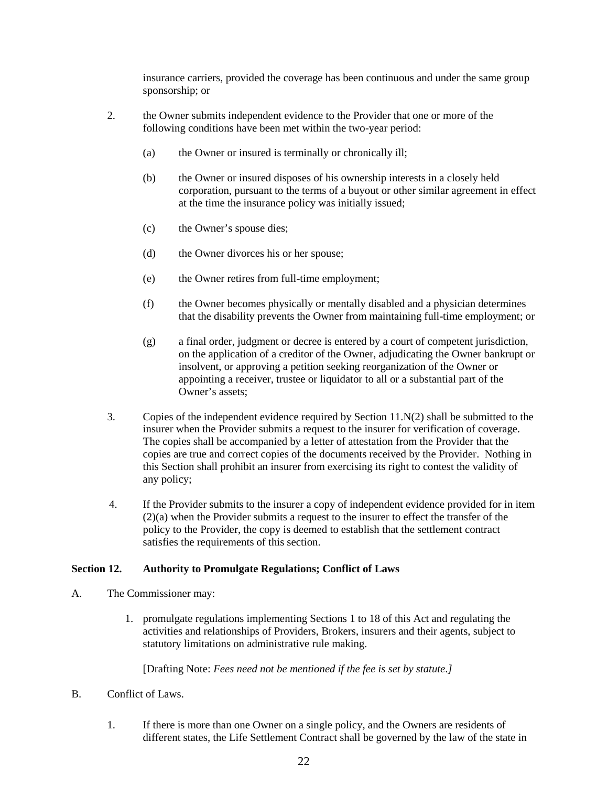insurance carriers, provided the coverage has been continuous and under the same group sponsorship; or

- 2. the Owner submits independent evidence to the Provider that one or more of the following conditions have been met within the two-year period:
	- (a) the Owner or insured is terminally or chronically ill;
	- (b) the Owner or insured disposes of his ownership interests in a closely held corporation, pursuant to the terms of a buyout or other similar agreement in effect at the time the insurance policy was initially issued;
	- (c) the Owner's spouse dies;
	- (d) the Owner divorces his or her spouse;
	- (e) the Owner retires from full-time employment;
	- (f) the Owner becomes physically or mentally disabled and a physician determines that the disability prevents the Owner from maintaining full-time employment; or
	- (g) a final order, judgment or decree is entered by a court of competent jurisdiction, on the application of a creditor of the Owner, adjudicating the Owner bankrupt or insolvent, or approving a petition seeking reorganization of the Owner or appointing a receiver, trustee or liquidator to all or a substantial part of the Owner's assets;
- 3. Copies of the independent evidence required by Section 11.N(2) shall be submitted to the insurer when the Provider submits a request to the insurer for verification of coverage. The copies shall be accompanied by a letter of attestation from the Provider that the copies are true and correct copies of the documents received by the Provider. Nothing in this Section shall prohibit an insurer from exercising its right to contest the validity of any policy;
- 4. If the Provider submits to the insurer a copy of independent evidence provided for in item (2)(a) when the Provider submits a request to the insurer to effect the transfer of the policy to the Provider, the copy is deemed to establish that the settlement contract satisfies the requirements of this section.

#### **Section 12. Authority to Promulgate Regulations; Conflict of Laws**

- A. The Commissioner may:
	- 1. promulgate regulations implementing Sections 1 to 18 of this Act and regulating the activities and relationships of Providers, Brokers, insurers and their agents, subject to statutory limitations on administrative rule making.

[Drafting Note: *Fees need not be mentioned if the fee is set by statute.]*

- B. Conflict of Laws.
	- 1. If there is more than one Owner on a single policy, and the Owners are residents of different states, the Life Settlement Contract shall be governed by the law of the state in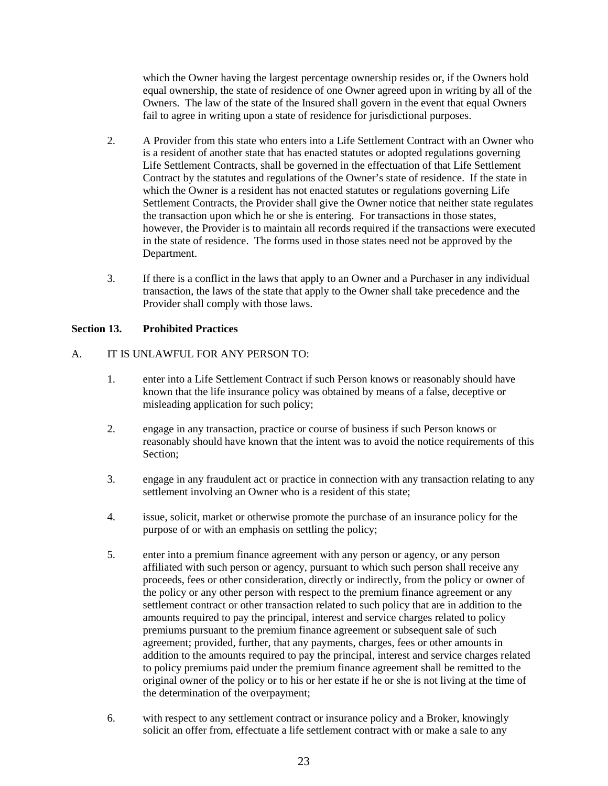which the Owner having the largest percentage ownership resides or, if the Owners hold equal ownership, the state of residence of one Owner agreed upon in writing by all of the Owners. The law of the state of the Insured shall govern in the event that equal Owners fail to agree in writing upon a state of residence for jurisdictional purposes.

- 2. A Provider from this state who enters into a Life Settlement Contract with an Owner who is a resident of another state that has enacted statutes or adopted regulations governing Life Settlement Contracts, shall be governed in the effectuation of that Life Settlement Contract by the statutes and regulations of the Owner's state of residence. If the state in which the Owner is a resident has not enacted statutes or regulations governing Life Settlement Contracts, the Provider shall give the Owner notice that neither state regulates the transaction upon which he or she is entering. For transactions in those states, however, the Provider is to maintain all records required if the transactions were executed in the state of residence. The forms used in those states need not be approved by the Department.
- 3. If there is a conflict in the laws that apply to an Owner and a Purchaser in any individual transaction, the laws of the state that apply to the Owner shall take precedence and the Provider shall comply with those laws.

# **Section 13. Prohibited Practices**

## A. IT IS UNLAWFUL FOR ANY PERSON TO:

- 1. enter into a Life Settlement Contract if such Person knows or reasonably should have known that the life insurance policy was obtained by means of a false, deceptive or misleading application for such policy;
- 2. engage in any transaction, practice or course of business if such Person knows or reasonably should have known that the intent was to avoid the notice requirements of this Section;
- 3. engage in any fraudulent act or practice in connection with any transaction relating to any settlement involving an Owner who is a resident of this state;
- 4. issue, solicit, market or otherwise promote the purchase of an insurance policy for the purpose of or with an emphasis on settling the policy;
- 5. enter into a premium finance agreement with any person or agency, or any person affiliated with such person or agency, pursuant to which such person shall receive any proceeds, fees or other consideration, directly or indirectly, from the policy or owner of the policy or any other person with respect to the premium finance agreement or any settlement contract or other transaction related to such policy that are in addition to the amounts required to pay the principal, interest and service charges related to policy premiums pursuant to the premium finance agreement or subsequent sale of such agreement; provided, further, that any payments, charges, fees or other amounts in addition to the amounts required to pay the principal, interest and service charges related to policy premiums paid under the premium finance agreement shall be remitted to the original owner of the policy or to his or her estate if he or she is not living at the time of the determination of the overpayment;
- 6. with respect to any settlement contract or insurance policy and a Broker, knowingly solicit an offer from, effectuate a life settlement contract with or make a sale to any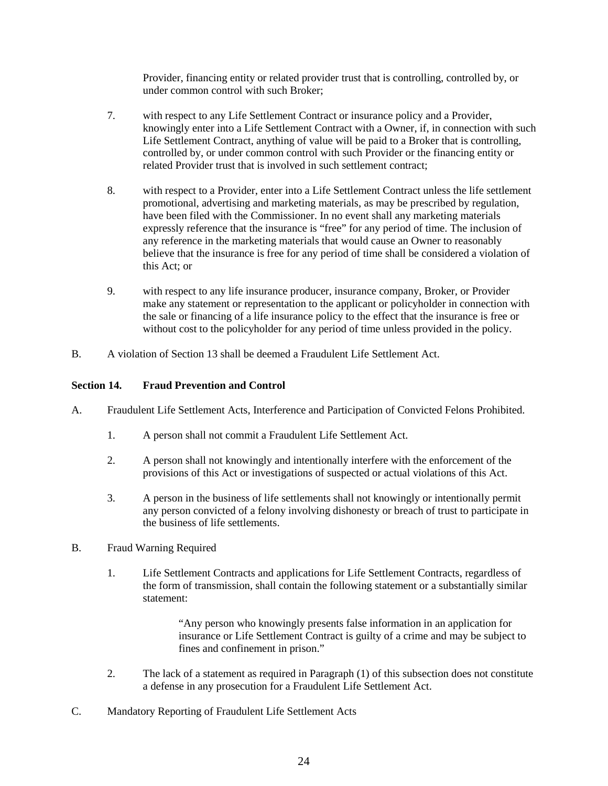Provider, financing entity or related provider trust that is controlling, controlled by, or under common control with such Broker;

- 7. with respect to any Life Settlement Contract or insurance policy and a Provider, knowingly enter into a Life Settlement Contract with a Owner, if, in connection with such Life Settlement Contract, anything of value will be paid to a Broker that is controlling, controlled by, or under common control with such Provider or the financing entity or related Provider trust that is involved in such settlement contract;
- 8. with respect to a Provider, enter into a Life Settlement Contract unless the life settlement promotional, advertising and marketing materials, as may be prescribed by regulation, have been filed with the Commissioner. In no event shall any marketing materials expressly reference that the insurance is "free" for any period of time. The inclusion of any reference in the marketing materials that would cause an Owner to reasonably believe that the insurance is free for any period of time shall be considered a violation of this Act; or
- 9. with respect to any life insurance producer, insurance company, Broker, or Provider make any statement or representation to the applicant or policyholder in connection with the sale or financing of a life insurance policy to the effect that the insurance is free or without cost to the policyholder for any period of time unless provided in the policy.
- B. A violation of Section 13 shall be deemed a Fraudulent Life Settlement Act.

## **Section 14. Fraud Prevention and Control**

- A. Fraudulent Life Settlement Acts, Interference and Participation of Convicted Felons Prohibited.
	- 1. A person shall not commit a Fraudulent Life Settlement Act.
	- 2. A person shall not knowingly and intentionally interfere with the enforcement of the provisions of this Act or investigations of suspected or actual violations of this Act.
	- 3. A person in the business of life settlements shall not knowingly or intentionally permit any person convicted of a felony involving dishonesty or breach of trust to participate in the business of life settlements.
- B. Fraud Warning Required
	- 1. Life Settlement Contracts and applications for Life Settlement Contracts, regardless of the form of transmission, shall contain the following statement or a substantially similar statement:

"Any person who knowingly presents false information in an application for insurance or Life Settlement Contract is guilty of a crime and may be subject to fines and confinement in prison."

- 2. The lack of a statement as required in Paragraph (1) of this subsection does not constitute a defense in any prosecution for a Fraudulent Life Settlement Act.
- C. Mandatory Reporting of Fraudulent Life Settlement Acts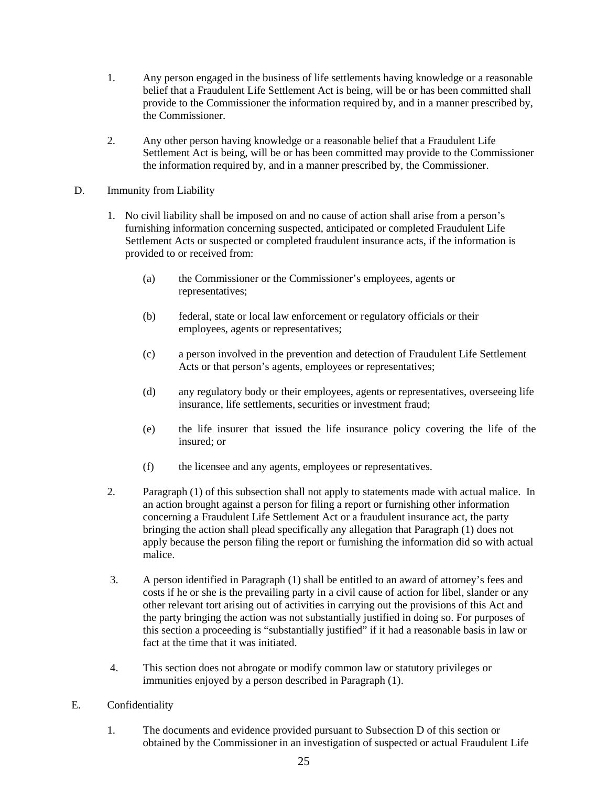- 1. Any person engaged in the business of life settlements having knowledge or a reasonable belief that a Fraudulent Life Settlement Act is being, will be or has been committed shall provide to the Commissioner the information required by, and in a manner prescribed by, the Commissioner.
- 2. Any other person having knowledge or a reasonable belief that a Fraudulent Life Settlement Act is being, will be or has been committed may provide to the Commissioner the information required by, and in a manner prescribed by, the Commissioner.
- D. Immunity from Liability
	- 1. No civil liability shall be imposed on and no cause of action shall arise from a person's furnishing information concerning suspected, anticipated or completed Fraudulent Life Settlement Acts or suspected or completed fraudulent insurance acts, if the information is provided to or received from:
		- (a) the Commissioner or the Commissioner's employees, agents or representatives;
		- (b) federal, state or local law enforcement or regulatory officials or their employees, agents or representatives;
		- (c) a person involved in the prevention and detection of Fraudulent Life Settlement Acts or that person's agents, employees or representatives;
		- (d) any regulatory body or their employees, agents or representatives, overseeing life insurance, life settlements, securities or investment fraud;
		- (e) the life insurer that issued the life insurance policy covering the life of the insured; or
		- (f) the licensee and any agents, employees or representatives.
	- 2. Paragraph (1) of this subsection shall not apply to statements made with actual malice. In an action brought against a person for filing a report or furnishing other information concerning a Fraudulent Life Settlement Act or a fraudulent insurance act, the party bringing the action shall plead specifically any allegation that Paragraph (1) does not apply because the person filing the report or furnishing the information did so with actual malice.
	- 3. A person identified in Paragraph (1) shall be entitled to an award of attorney's fees and costs if he or she is the prevailing party in a civil cause of action for libel, slander or any other relevant tort arising out of activities in carrying out the provisions of this Act and the party bringing the action was not substantially justified in doing so. For purposes of this section a proceeding is "substantially justified" if it had a reasonable basis in law or fact at the time that it was initiated.
	- 4. This section does not abrogate or modify common law or statutory privileges or immunities enjoyed by a person described in Paragraph (1).
- E. Confidentiality
	- 1. The documents and evidence provided pursuant to Subsection D of this section or obtained by the Commissioner in an investigation of suspected or actual Fraudulent Life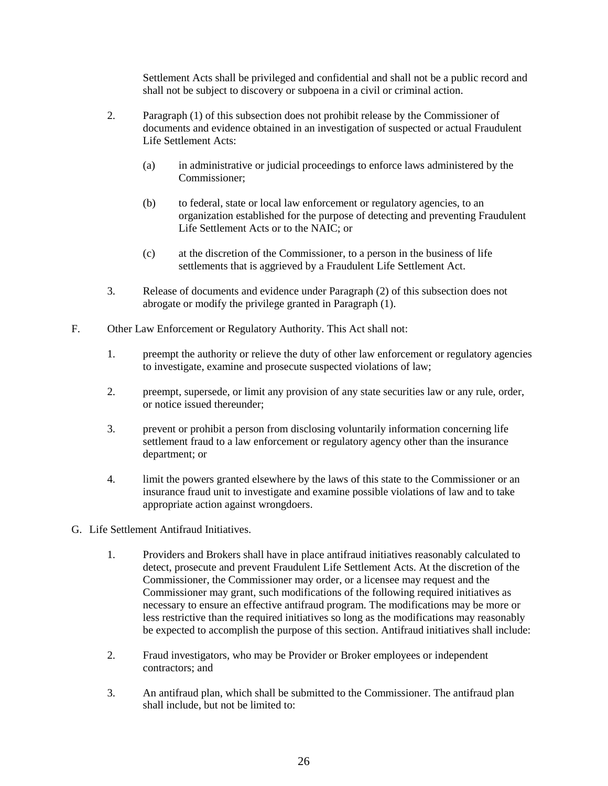Settlement Acts shall be privileged and confidential and shall not be a public record and shall not be subject to discovery or subpoena in a civil or criminal action.

- 2. Paragraph (1) of this subsection does not prohibit release by the Commissioner of documents and evidence obtained in an investigation of suspected or actual Fraudulent Life Settlement Acts:
	- (a) in administrative or judicial proceedings to enforce laws administered by the Commissioner;
	- (b) to federal, state or local law enforcement or regulatory agencies, to an organization established for the purpose of detecting and preventing Fraudulent Life Settlement Acts or to the NAIC; or
	- (c) at the discretion of the Commissioner, to a person in the business of life settlements that is aggrieved by a Fraudulent Life Settlement Act.
- 3. Release of documents and evidence under Paragraph (2) of this subsection does not abrogate or modify the privilege granted in Paragraph (1).
- F. Other Law Enforcement or Regulatory Authority. This Act shall not:
	- 1. preempt the authority or relieve the duty of other law enforcement or regulatory agencies to investigate, examine and prosecute suspected violations of law;
	- 2. preempt, supersede, or limit any provision of any state securities law or any rule, order, or notice issued thereunder;
	- 3. prevent or prohibit a person from disclosing voluntarily information concerning life settlement fraud to a law enforcement or regulatory agency other than the insurance department; or
	- 4. limit the powers granted elsewhere by the laws of this state to the Commissioner or an insurance fraud unit to investigate and examine possible violations of law and to take appropriate action against wrongdoers.
- G. Life Settlement Antifraud Initiatives.
	- 1. Providers and Brokers shall have in place antifraud initiatives reasonably calculated to detect, prosecute and prevent Fraudulent Life Settlement Acts. At the discretion of the Commissioner, the Commissioner may order, or a licensee may request and the Commissioner may grant, such modifications of the following required initiatives as necessary to ensure an effective antifraud program. The modifications may be more or less restrictive than the required initiatives so long as the modifications may reasonably be expected to accomplish the purpose of this section. Antifraud initiatives shall include:
	- 2. Fraud investigators, who may be Provider or Broker employees or independent contractors; and
	- 3. An antifraud plan, which shall be submitted to the Commissioner. The antifraud plan shall include, but not be limited to: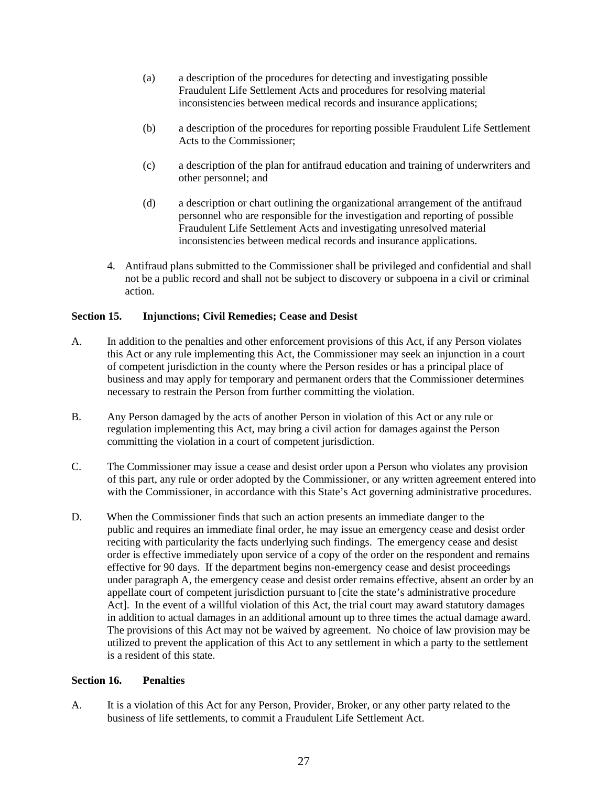- (a) a description of the procedures for detecting and investigating possible Fraudulent Life Settlement Acts and procedures for resolving material inconsistencies between medical records and insurance applications;
- (b) a description of the procedures for reporting possible Fraudulent Life Settlement Acts to the Commissioner;
- (c) a description of the plan for antifraud education and training of underwriters and other personnel; and
- (d) a description or chart outlining the organizational arrangement of the antifraud personnel who are responsible for the investigation and reporting of possible Fraudulent Life Settlement Acts and investigating unresolved material inconsistencies between medical records and insurance applications.
- 4. Antifraud plans submitted to the Commissioner shall be privileged and confidential and shall not be a public record and shall not be subject to discovery or subpoena in a civil or criminal action.

# **Section 15. Injunctions; Civil Remedies; Cease and Desist**

- A. In addition to the penalties and other enforcement provisions of this Act, if any Person violates this Act or any rule implementing this Act, the Commissioner may seek an injunction in a court of competent jurisdiction in the county where the Person resides or has a principal place of business and may apply for temporary and permanent orders that the Commissioner determines necessary to restrain the Person from further committing the violation.
- B. Any Person damaged by the acts of another Person in violation of this Act or any rule or regulation implementing this Act, may bring a civil action for damages against the Person committing the violation in a court of competent jurisdiction.
- C. The Commissioner may issue a cease and desist order upon a Person who violates any provision of this part, any rule or order adopted by the Commissioner, or any written agreement entered into with the Commissioner, in accordance with this State's Act governing administrative procedures.
- D. When the Commissioner finds that such an action presents an immediate danger to the public and requires an immediate final order, he may issue an emergency cease and desist order reciting with particularity the facts underlying such findings. The emergency cease and desist order is effective immediately upon service of a copy of the order on the respondent and remains effective for 90 days. If the department begins non-emergency cease and desist proceedings under paragraph A, the emergency cease and desist order remains effective, absent an order by an appellate court of competent jurisdiction pursuant to [cite the state's administrative procedure Act]. In the event of a willful violation of this Act, the trial court may award statutory damages in addition to actual damages in an additional amount up to three times the actual damage award. The provisions of this Act may not be waived by agreement. No choice of law provision may be utilized to prevent the application of this Act to any settlement in which a party to the settlement is a resident of this state.

### **Section 16. Penalties**

A. It is a violation of this Act for any Person, Provider, Broker, or any other party related to the business of life settlements, to commit a Fraudulent Life Settlement Act.